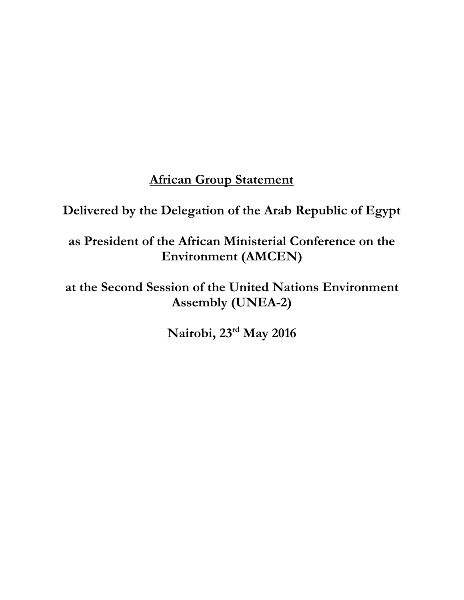# **African Group Statement**

**Delivered by the Delegation of the Arab Republic of Egypt**

**as President of the African Ministerial Conference on the Environment (AMCEN)**

**at the Second Session of the United Nations Environment Assembly (UNEA-2)**

**Nairobi, 23rd May 2016**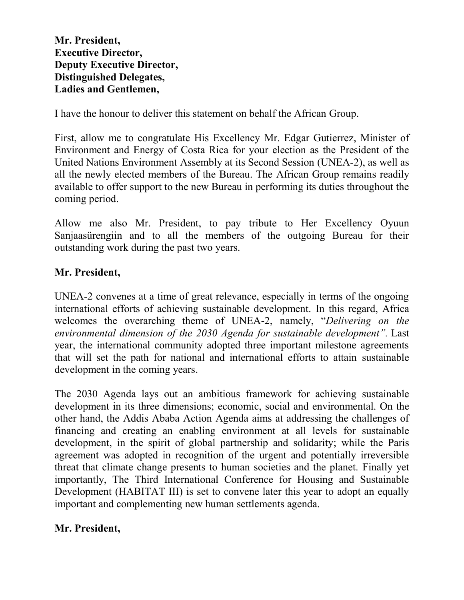**Mr. President, Executive Director, Deputy Executive Director, Distinguished Delegates, Ladies and Gentlemen,**

I have the honour to deliver this statement on behalf the African Group.

First, allow me to congratulate His Excellency Mr. Edgar Gutierrez, Minister of Environment and Energy of Costa Rica for your election as the President of the United Nations Environment Assembly at its Second Session (UNEA-2), as well as all the newly elected members of the Bureau. The African Group remains readily available to offer support to the new Bureau in performing its duties throughout the coming period.

Allow me also Mr. President, to pay tribute to Her Excellency Oyuun Sanjaasürengiin and to all the members of the outgoing Bureau for their outstanding work during the past two years.

### **Mr. President,**

UNEA-2 convenes at a time of great relevance, especially in terms of the ongoing international efforts of achieving sustainable development. In this regard, Africa welcomes the overarching theme of UNEA-2, namely, "*Delivering on the environmental dimension of the 2030 Agenda for sustainable development".* Last year, the international community adopted three important milestone agreements that will set the path for national and international efforts to attain sustainable development in the coming years.

The 2030 Agenda lays out an ambitious framework for achieving sustainable development in its three dimensions; economic, social and environmental. On the other hand, the Addis Ababa Action Agenda aims at addressing the challenges of financing and creating an enabling environment at all levels for sustainable development, in the spirit of global partnership and solidarity; while the Paris agreement was adopted in recognition of the urgent and potentially irreversible threat that climate change presents to human societies and the planet. Finally yet importantly, The Third International Conference for Housing and Sustainable Development (HABITAT III) is set to convene later this year to adopt an equally important and complementing new human settlements agenda.

### **Mr. President,**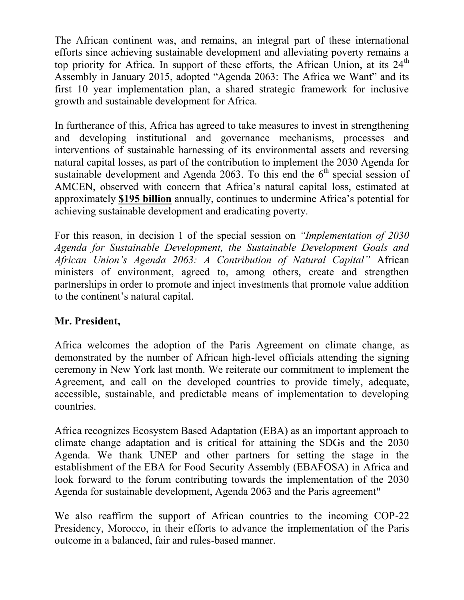The African continent was, and remains, an integral part of these international efforts since achieving sustainable development and alleviating poverty remains a top priority for Africa. In support of these efforts, the African Union, at its  $24<sup>th</sup>$ Assembly in January 2015, adopted "Agenda 2063: The Africa we Want" and its first 10 year implementation plan, a shared strategic framework for inclusive growth and sustainable development for Africa.

In furtherance of this, Africa has agreed to take measures to invest in strengthening and developing institutional and governance mechanisms, processes and interventions of sustainable harnessing of its environmental assets and reversing natural capital losses, as part of the contribution to implement the 2030 Agenda for sustainable development and Agenda 2063. To this end the  $6<sup>th</sup>$  special session of AMCEN, observed with concern that Africa's natural capital loss, estimated at approximately **\$195 billion** annually, continues to undermine Africa's potential for achieving sustainable development and eradicating poverty.

For this reason, in decision 1 of the special session on *"Implementation of 2030 Agenda for Sustainable Development, the Sustainable Development Goals and African Union's Agenda 2063: A Contribution of Natural Capital"* African ministers of environment, agreed to, among others, create and strengthen partnerships in order to promote and inject investments that promote value addition to the continent's natural capital.

## **Mr. President,**

Africa welcomes the adoption of the Paris Agreement on climate change, as demonstrated by the number of African high-level officials attending the signing ceremony in New York last month. We reiterate our commitment to implement the Agreement, and call on the developed countries to provide timely, adequate, accessible, sustainable, and predictable means of implementation to developing countries.

Africa recognizes Ecosystem Based Adaptation (EBA) as an important approach to climate change adaptation and is critical for attaining the SDGs and the 2030 Agenda. We thank UNEP and other partners for setting the stage in the establishment of the EBA for Food Security Assembly (EBAFOSA) in Africa and look forward to the forum contributing towards the implementation of the 2030 Agenda for sustainable development, Agenda 2063 and the Paris agreement"

We also reaffirm the support of African countries to the incoming COP-22 Presidency, Morocco, in their efforts to advance the implementation of the Paris outcome in a balanced, fair and rules-based manner.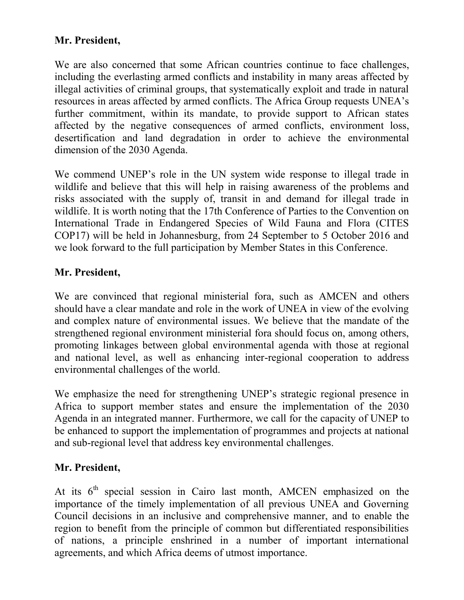## **Mr. President,**

We are also concerned that some African countries continue to face challenges, including the everlasting armed conflicts and instability in many areas affected by illegal activities of criminal groups, that systematically exploit and trade in natural resources in areas affected by armed conflicts. The Africa Group requests UNEA's further commitment, within its mandate, to provide support to African states affected by the negative consequences of armed conflicts, environment loss, desertification and land degradation in order to achieve the environmental dimension of the 2030 Agenda.

We commend UNEP's role in the UN system wide response to illegal trade in wildlife and believe that this will help in raising awareness of the problems and risks associated with the supply of, transit in and demand for illegal trade in wildlife. It is worth noting that the 17th Conference of Parties to the Convention on International Trade in Endangered Species of Wild Fauna and Flora (CITES COP17) will be held in Johannesburg, from 24 September to 5 October 2016 and we look forward to the full participation by Member States in this Conference.

#### **Mr. President,**

We are convinced that regional ministerial fora, such as AMCEN and others should have a clear mandate and role in the work of UNEA in view of the evolving and complex nature of environmental issues. We believe that the mandate of the strengthened regional environment ministerial fora should focus on, among others, promoting linkages between global environmental agenda with those at regional and national level, as well as enhancing inter-regional cooperation to address environmental challenges of the world.

We emphasize the need for strengthening UNEP's strategic regional presence in Africa to support member states and ensure the implementation of the 2030 Agenda in an integrated manner. Furthermore, we call for the capacity of UNEP to be enhanced to support the implementation of programmes and projects at national and sub-regional level that address key environmental challenges.

#### **Mr. President,**

At its  $6<sup>th</sup>$  special session in Cairo last month, AMCEN emphasized on the importance of the timely implementation of all previous UNEA and Governing Council decisions in an inclusive and comprehensive manner, and to enable the region to benefit from the principle of common but differentiated responsibilities of nations, a principle enshrined in a number of important international agreements, and which Africa deems of utmost importance.